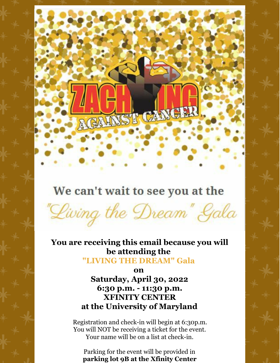

## We can't wait to see you at the

"Living the Dream" Gala **You are receiving this email because you will**

**be attending the "LIVING THE DREAM" Gala**

> **on Saturday, April 30, 2022 6:30 p.m. - 11:30 p.m. XFINITY CENTER at the University of Maryland**

Registration and check-in will begin at 6:30p.m. You will NOT be receiving a ticket for the event. Your name will be on a list at check-in.

Parking for the event will be provided in **parking lot 9B at the Xfinity Center**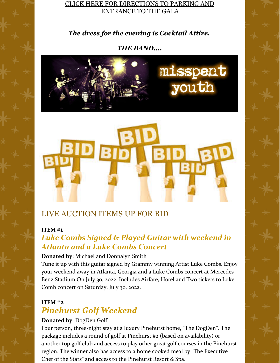#### CLICK HERE FOR [DIRECTIONS](https://files.constantcontact.com/7d605b56401/ad94041d-a701-4d31-8b86-c6bb6b19fc52.pdf) TO PARKING AND [ENTRANCE](https://files.constantcontact.com/7d605b56401/ad94041d-a701-4d31-8b86-c6bb6b19fc52.pdf) TO THE GALA

*The dress for the evening is Cocktail Attire.*

#### *THE BAND....*





## LIVE AUCTION ITEMS UP FOR BID

#### **ITEM #1**

## *Luke Combs Signed & Played Guitar with weekend in Atlanta and a Luke Combs Concert*

#### **Donated by**: Michael and Donnalyn Smith

Tune it up with this guitar signed by Grammy winning Artist Luke Combs. Enjoy your weekend away in Atlanta, Georgia and a Luke Combs concert at Mercedes Benz Stadium On July 30, 2022. Includes Airfare, Hotel and Two tickets to Luke Comb concert on Saturday, July 30, 2022.

## **ITEM #2** *Pinehurst Golf Weekend*

#### **Donated by**: DogDen Golf

Four person, three-night stay at a luxury Pinehurst home, "The DogDen". The package includes a round of golf at Pinehurst #2 (based on availability) or another top golf club and access to play other great golf courses in the Pinehurst region. The winner also has access to a home cooked meal by "The Executive Chef of the Stars" and access to the Pinehurst Resort & Spa.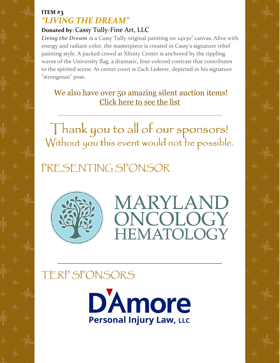### **ITEM #3** *"LIVING THE DREAM"*

## **Donated by**: Cassy Tully-Fine Art, LLC

*Living the Dream* is a Cassy Tully original painting on 24x30" canvas. Alive with energy and radiant color, the masterpiece is created in Cassy's signature relief painting style. A packed crowd at Xfinity Center is anchored by the rippling waves of the University flag, a dramatic, four-colored contrast that contributes to the spirited scene. At center court is Zach Lederer, depicted in his signature "strongman" pose.

We also have over 50 amazing silent auction items! [Click](https://files.constantcontact.com/7d605b56401/192a883b-7a84-4fe6-901a-cf0ac3bb74ce.pdf) here to see the list

Thank you to all of our sponsors! Without you this event would not be possible.

# PRESENTING SPONSOR





# TERP SPONSORS

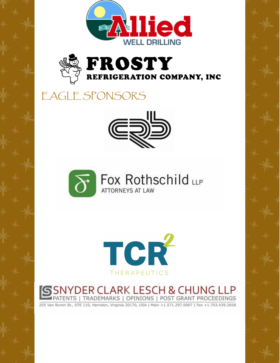



# EAGLE SPONSORS







SNYDER CLARK LESCH & CHUNG LLP<br>PATENTS | TRADEMARKS | OPINIONS | POST GRANT PROCEEDINGS

205 Van Buren St., STE 110, Herndon, Virginia 20170, USA | Main +1.571.297.0007 | Fax +1.703.439.2658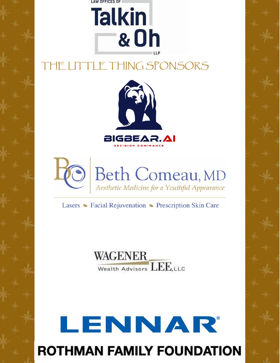

# THE LITTLE THING SPONSORS





Lasers • Facial Rejuvenation • Prescription Skin Care

WAGENER<br>Wealth Advisors LEE, LLC

# LENNAR **ROTHMAN FAMILY FOUNDATION**